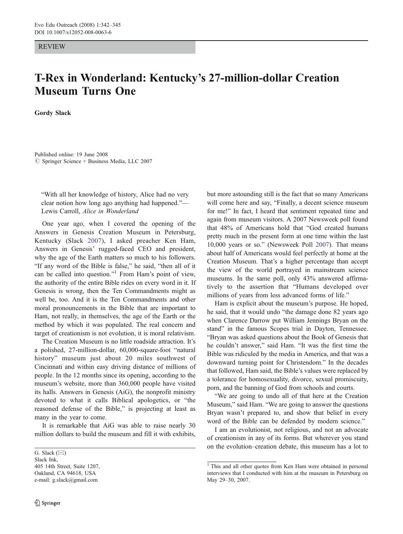## REVIEW

## T-Rex in Wonderland: Kentucky*'*s 27-million-dollar Creation Museum Turns One

Gordy Slack

Published online: 19 June 2008  $\circ$  Springer Science + Business Media, LLC 2007

"With all her knowledge of history, Alice had no very clear notion how long ago anything had happened."— Lewis Carroll, Alice in Wonderland

One year ago, when I covered the opening of the Answers in Genesis Creation Museum in Petersburg, Kentucky (Slack [2007](#page-3-0)), I asked preacher Ken Ham, Answers in Genesis' rugged-faced CEO and president, why the age of the Earth matters so much to his followers. "If any word of the Bible is false," he said, "then all of it can be called into question."<sup>1</sup> From Ham's point of view, the authority of the entire Bible rides on every word in it. If Genesis is wrong, then the Ten Commandments might as well be, too. And it is the Ten Commandments and other moral pronouncements in the Bible that are important to Ham, not really, in themselves, the age of the Earth or the method by which it was populated. The real concern and target of creationism is not evolution, it is moral relativism.

The Creation Museum is no little roadside attraction. It's a polished, 27-million-dollar, 60,000-square-foot "natural history" museum just about 20 miles southwest of Cincinnati and within easy driving distance of millions of people. In the 12 months since its opening, according to the museum's website, more than 360,000 people have visited its halls. Answers in Genesis (AiG), the nonprofit ministry devoted to what it calls Biblical apologetics, or "the reasoned defense of the Bible," is projecting at least as many in the year to come.

It is remarkable that AiG was able to raise nearly 30 million dollars to build the museum and fill it with exhibits,

but more astounding still is the fact that so many Americans will come here and say, "Finally, a decent science museum for me!" In fact, I heard that sentiment repeated time and again from museum visitors. A 2007 Newsweek poll found that 48% of Americans hold that "God created humans pretty much in the present form at one time within the last 10,000 years or so." (Newsweek Poll [2007\)](#page-3-0). That means about half of Americans would feel perfectly at home at the Creation Museum. That's a higher percentage than accept the view of the world portrayed in mainstream science museums. In the same poll, only 43% answered affirmatively to the assertion that "Humans developed over millions of years from less advanced forms of life."

Ham is explicit about the museum's purpose. He hoped, he said, that it would undo "the damage done 82 years ago when Clarence Darrow put William Jennings Bryan on the stand" in the famous Scopes trial in Dayton, Tennessee. "Bryan was asked questions about the Book of Genesis that he couldn't answer," said Ham. "It was the first time the Bible was ridiculed by the media in America, and that was a downward turning point for Christendom." In the decades that followed, Ham said, the Bible's values were replaced by a tolerance for homosexuality, divorce, sexual promiscuity, porn, and the banning of God from schools and courts.

"We are going to undo all of that here at the Creation Museum," said Ham. "We are going to answer the questions Bryan wasn't prepared to, and show that belief in every word of the Bible can be defended by modern science."

I am an evolutionist, not religious, and not an advocate of creationism in any of its forms. But wherever you stand on the evolution–creation debate, this museum has a lot to

G. Slack (*\**) Slack Ink, 405 14th Street, Suite 1207, Oakland, CA 94618, USA e-mail: g.slack@gmail.com

<sup>&</sup>lt;sup>1</sup> This and all other quotes from Ken Ham were obtained in personal interviews that I conducted with him at the museum in Petersburg on May 29–30, 2007.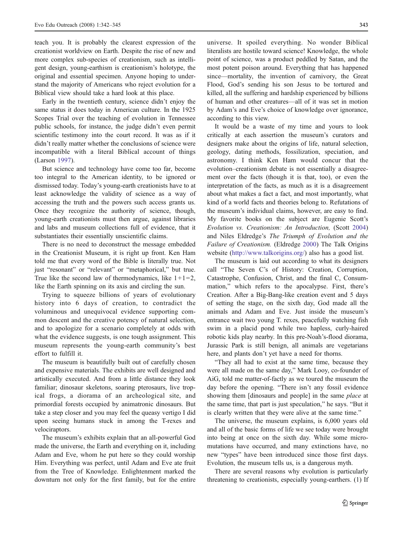teach you. It is probably the clearest expression of the creationist worldview on Earth. Despite the rise of new and more complex sub-species of creationism, such as intelligent design, young-earthism is creationism's holotype, the original and essential specimen. Anyone hoping to understand the majority of Americans who reject evolution for a Biblical view should take a hard look at this place.

Early in the twentieth century, science didn't enjoy the same status it does today in American culture. In the 1925 Scopes Trial over the teaching of evolution in Tennessee public schools, for instance, the judge didn't even permit scientific testimony into the court record. It was as if it didn't really matter whether the conclusions of science were incompatible with a literal Biblical account of things (Larson [1997\)](#page-3-0).

But science and technology have come too far, become too integral to the American identity, to be ignored or dismissed today. Today's young-earth creationists have to at least acknowledge the validity of science as a way of accessing the truth and the powers such access grants us. Once they recognize the authority of science, though, young-earth creationists must then argue, against libraries and labs and museum collections full of evidence, that it substantiates their essentially unscientific claims.

There is no need to deconstruct the message embedded in the Creationist Museum, it is right up front. Ken Ham told me that every word of the Bible is literally true. Not just "resonant" or "relevant" or "metaphorical," but true. True like the second law of thermodynamics, like  $1+1=2$ , like the Earth spinning on its axis and circling the sun.

Trying to squeeze billions of years of evolutionary history into 6 days of creation, to contradict the voluminous and unequivocal evidence supporting common descent and the creative potency of natural selection, and to apologize for a scenario completely at odds with what the evidence suggests, is one tough assignment. This museum represents the young-earth community's best effort to fulfill it.

The museum is beautifully built out of carefully chosen and expensive materials. The exhibits are well designed and artistically executed. And from a little distance they look familiar; dinosaur skeletons, soaring pterosaurs, live tropical frogs, a diorama of an archeological site, and primordial forests occupied by animatronic dinosaurs. But take a step closer and you may feel the queasy vertigo I did upon seeing humans stuck in among the T-rexes and velociraptors.

The museum's exhibits explain that an all-powerful God made the universe, the Earth and everything on it, including Adam and Eve, whom he put here so they could worship Him. Everything was perfect, until Adam and Eve ate fruit from the Tree of Knowledge. Enlightenment marked the downturn not only for the first family, but for the entire

universe. It spoiled everything. No wonder Biblical literalists are hostile toward science! Knowledge, the whole point of science, was a product peddled by Satan, and the most potent poison around. Everything that has happened since—mortality, the invention of carnivory, the Great Flood, God's sending his son Jesus to be tortured and killed, all the suffering and hardship experienced by billions of human and other creatures—all of it was set in motion by Adam's and Eve's choice of knowledge over ignorance, according to this view.

It would be a waste of my time and yours to look critically at each assertion the museum's curators and designers make about the origins of life, natural selection, geology, dating methods, fossilization, speciation, and astronomy. I think Ken Ham would concur that the evolution–creationism debate is not essentially a disagreement over the facts (though it is that, too), or even the interpretation of the facts, as much as it is a disagreement about what makes a fact a fact, and most importantly, what kind of a world facts and theories belong to. Refutations of the museum's individual claims, however, are easy to find. My favorite books on the subject are Eugenie Scott's Evolution vs. Creationism: An Introduction, (Scott [2004](#page-3-0)) and Niles Eldredge's The Triumph of Evolution and the Failure of Creationism. (Eldredge [2000\)](#page-3-0) The Talk Origins website (<http://www.talkorigins.org/>) also has a good list.

The museum is laid out according to what its designers call "The Seven C's of History: Creation, Corruption, Catastrophe, Confusion, Christ, and the final C, Consummation," which refers to the apocalypse. First, there's Creation. After a Big-Bang-like creation event and 5 days of setting the stage, on the sixth day, God made all the animals and Adam and Eve. Just inside the museum's entrance wait two young T. rexes, peacefully watching fish swim in a placid pond while two hapless, curly-haired robotic kids play nearby. In this pre-Noah's-flood diorama, Jurassic Park is still benign, all animals are vegetarians here, and plants don't yet have a need for thorns.

"They all had to exist at the same time, because they were all made on the same day," Mark Looy, co-founder of AiG, told me matter-of-factly as we toured the museum the day before the opening. "There isn't any fossil evidence showing them [dinosaurs and people] in the same *place* at the same time, that part is just speculation," he says. "But it is clearly written that they were alive at the same time."

The universe, the museum explains, is 6,000 years old and all of the basic forms of life we see today were brought into being at once on the sixth day. While some micromutations have occurred, and many extinctions have, no new "types" have been introduced since those first days. Evolution, the museum tells us, is a dangerous myth.

There are several reasons why evolution is particularly threatening to creationists, especially young-earthers. (1) If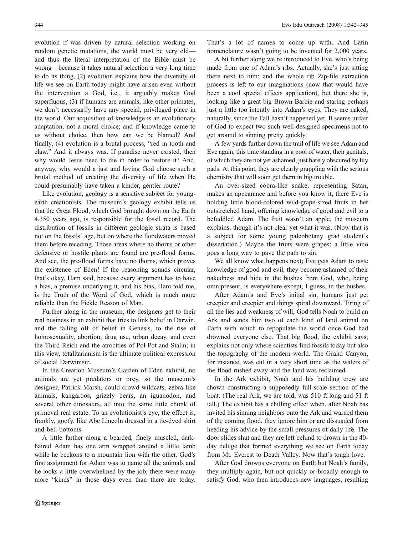evolution if was driven by natural selection working on random genetic mutations, the world must be very old and thus the literal interpretation of the Bible must be wrong—because it takes natural selection a very long time to do its thing, (2) evolution explains how the diversity of life we see on Earth today might have arisen even without the intervention a God, i.e., it arguably makes God superfluous, (3) if humans are animals, like other primates, we don't necessarily have any special, privileged place in the world. Our acquisition of knowledge is an evolutionary adaptation, not a moral choice; and if knowledge came to us without choice, then how can we be blamed? And finally, (4) evolution is a brutal process, "red in tooth and claw." And it always was. If paradise never existed, then why would Jesus need to die in order to restore it? And, anyway, why would a just and loving God choose such a brutal method of creating the diversity of life when He could presumably have taken a kinder, gentler route?

Like evolution, geology is a sensitive subject for youngearth creationists. The museum's geology exhibit tells us that the Great Flood, which God brought down on the Earth 4,350 years ago, is responsible for the fossil record. The distribution of fossils in different geologic strata is based not on the fossils' age, but on where the floodwaters moved them before receding. Those areas where no thorns or other defensive or hostile plants are found are pre-flood forms. And see, the pre-flood forms have no thorns, which proves the existence of Eden! If the reasoning sounds circular, that's okay, Ham said, because every argument has to have a bias, a premise underlying it, and his bias, Ham told me, is the Truth of the Word of God, which is much more reliable than the Fickle Reason of Man.

Further along in the museum, the designers get to their real business in an exhibit that tries to link belief in Darwin, and the falling off of belief in Genesis, to the rise of homosexuality, abortion, drug use, urban decay, and even the Third Reich and the atrocities of Pol Pot and Stalin; in this view, totalitarianism is the ultimate political expression of social Darwinism.

In the Creation Museum's Garden of Eden exhibit, no animals are yet predators or prey, so the museum's designer, Patrick Marsh, could crowd wildcats, zebra-like animals, kangaroos, grizzly bears, an iguanodon, and several other dinosaurs, all into the same little chunk of primeval real estate. To an evolutionist's eye, the effect is, frankly, goofy, like Abe Lincoln dressed in a tie-dyed shirt and bell-bottoms.

A little farther along a bearded, finely muscled, darkhaired Adam has one arm wrapped around a little lamb while he beckons to a mountain lion with the other. God's first assignment for Adam was to name all the animals and he looks a little overwhelmed by the job; there were many more "kinds" in those days even than there are today. That's a lot of names to come up with. And Latin nomenclature wasn't going to be invented for 2,000 years.

A bit further along we're introduced to Eve, who's being made from one of Adam's ribs. Actually, she's just sitting there next to him; and the whole rib Zip-file extraction process is left to our imaginations (now that would have been a cool special effects application), but there she is, looking like a great big Brown Barbie and staring perhaps just a little too intently into Adam's eyes. They are naked, naturally, since the Fall hasn't happened yet. It seems unfair of God to expect two such well-designed specimens not to get around to sinning pretty quickly.

A few yards further down the trail of life we see Adam and Eve again, this time standing in a pool of water, their genitals, of which they are not yet ashamed, just barely obscured by lily pads. At this point, they are clearly grappling with the serious chemistry that will soon get them in big trouble.

An over-sized cobra-like snake, representing Satan, makes an appearance and before you know it, there Eve is holding little blood-colored wild-grape-sized fruits in her outstretched hand, offering knowledge of good and evil to a befuddled Adam. The fruit wasn't an apple, the museum explains, though it's not clear yet what it was. (Now that is a subject for some young paleobotany grad student's dissertation.) Maybe the fruits were grapes; a little vino goes a long way to pave the path to sin.

We all know what happens next; Eve gets Adam to taste knowledge of good and evil, they become ashamed of their nakedness and hide in the bushes from God, who, being omnipresent, is everywhere except, I guess, in the bushes.

After Adam's and Eve's initial sin, humans just get creepier and creepier and things spiral downward. Tiring of all the lies and weakness of will, God tells Noah to build an Ark and sends him two of each kind of land animal on Earth with which to repopulate the world once God had drowned everyone else. That big flood, the exhibit says, explains not only where scientists find fossils today but also the topography of the modern world. The Grand Canyon, for instance, was cut in a very short time as the waters of the flood rushed away and the land was reclaimed.

In the Ark exhibit, Noah and his building crew are shown constructing a supposedly full-scale section of the boat. (The real Ark, we are told, was 510 ft long and 51 ft tall.) The exhibit has a chilling effect when, after Noah has invited his sinning neighbors onto the Ark and warned them of the coming flood, they ignore him or are dissuaded from heeding his advice by the small pressures of daily life. The door slides shut and they are left behind to drown in the 40 day deluge that formed everything we see on Earth today from Mt. Everest to Death Valley. Now that's tough love.

After God drowns everyone on Earth but Noah's family, they multiply again, but not quickly or broadly enough to satisfy God, who then introduces new languages, resulting